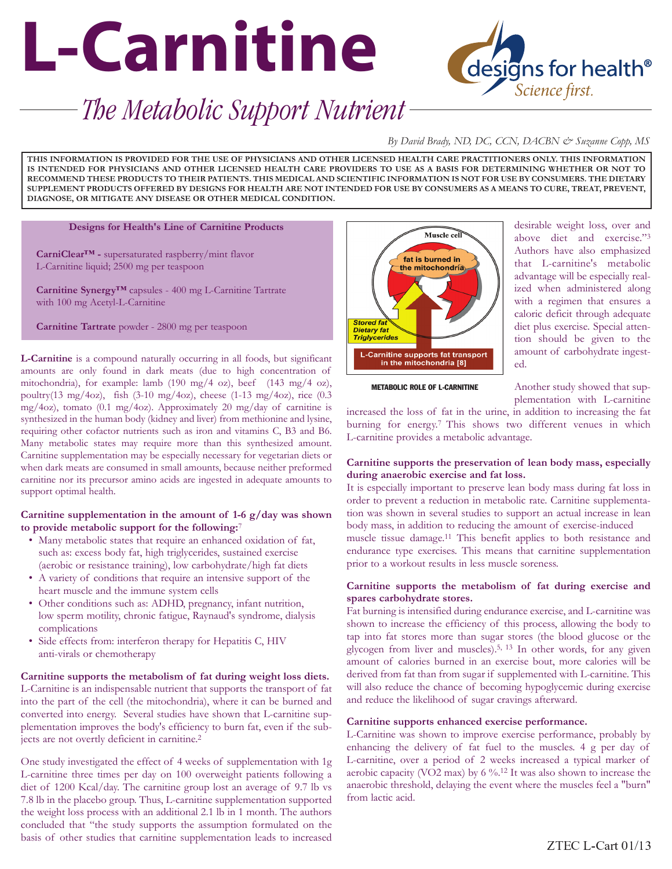# **L-Carnitine**



# *The Metabolic Support Nutrient*

### *By David Brady, ND, DC, CCN, DACBN & Suzanne Copp, MS*

**THIS INFORMATION IS PROVIDED FOR THE USE OF PHYSICIANS AND OTHER LICENSED HEALTH CARE PRACTITIONERS ONLY. THIS INFORMATION IS INTENDED FOR PHYSICIANS AND OTHER LICENSED HEALTH CARE PROVIDERS TO USE AS A BASIS FOR DETERMINING WHETHER OR NOT TO RECOMMEND THESE PRODUCTS TO THEIR PATIENTS. THIS MEDICAL AND SCIENTIFIC INFORMATION IS NOT FOR USE BY CONSUMERS. THE DIETARY SUPPLEMENT PRODUCTS OFFERED BY DESIGNS FOR HEALTH ARE NOT INTENDED FOR USE BY CONSUMERS AS A MEANS TO CURE, TREAT, PREVENT, DIAGNOSE, OR MITIGATE ANY DISEASE OR OTHER MEDICAL CONDITION.**

#### **Designs for Health's Line of Carnitine Products**

**CarniClear™ -** supersaturated raspberry/mint flavor L-Carnitine liquid; 2500 mg per teaspoon

**Carnitine Synergy™** capsules - 400 mg L-Carnitine Tartrate with 100 mg Acetyl-L-Carnitine

**Carnitine Tartrate** powder - 2800 mg per teaspoon

**L-Carnitine** is a compound naturally occurring in all foods, but significant amounts are only found in dark meats (due to high concentration of mitochondria), for example: lamb (190 mg/4 oz), beef (143 mg/4 oz), poultry(13 mg/4oz), fish (3-10 mg/4oz), cheese (1-13 mg/4oz), rice (0.3 mg/4oz), tomato (0.1 mg/4oz). Approximately 20 mg/day of carnitine is synthesized in the human body (kidney and liver) from methionine and lysine, requiring other cofactor nutrients such as iron and vitamins C, B3 and B6. Many metabolic states may require more than this synthesized amount. Carnitine supplementation may be especially necessary for vegetarian diets or when dark meats are consumed in small amounts, because neither preformed carnitine nor its precursor amino acids are ingested in adequate amounts to support optimal health.

#### **Carnitine supplementation in the amount of 1-6 g/day was shown to provide metabolic support for the following:**<sup>7</sup>

- Many metabolic states that require an enhanced oxidation of fat, such as: excess body fat, high triglycerides, sustained exercise (aerobic or resistance training), low carbohydrate/high fat diets
- A variety of conditions that require an intensive support of the heart muscle and the immune system cells
- Other conditions such as: ADHD, pregnancy, infant nutrition, low sperm motility, chronic fatigue, Raynaud's syndrome, dialysis complications
- Side effects from: interferon therapy for Hepatitis C, HIV anti-virals or chemotherapy

### **Carnitine supports the metabolism of fat during weight loss diets.** L-Carnitine is an indispensable nutrient that supports the transport of fat into the part of the cell (the mitochondria), where it can be burned and converted into energy. Several studies have shown that L-carnitine supplementation improves the body's efficiency to burn fat, even if the subjects are not overtly deficient in carnitine.<sup>2</sup>

One study investigated the effect of 4 weeks of supplementation with  $1g$ L-carnitine three times per day on 100 overweight patients following a diet of 1200 Kcal/day. The carnitine group lost an average of 9.7 lb vs 7.8 lb in the placebo group. Thus, L-carnitine supplementation supported the weight loss process with an additional 2.1 lb in 1 month. The authors concluded that "the study supports the assumption formulated on the basis of other studies that carnitine supplementation leads to increased



desirable weight loss, over and above diet and exercise."<sup>3</sup> Authors have also emphasized that L-carnitine's metabolic advantage will be especially realized when administered along with a regimen that ensures a caloric deficit through adequate diet plus exercise. Special attention should be given to the amount of carbohydrate ingested.

METABOLIC ROLE OF L-CARNITINE

Another study showed that supplementation with L-carnitine

increased the loss of fat in the urine, in addition to increasing the fat burning for energy.<sup>7</sup> This shows two different venues in which L-carnitine provides a metabolic advantage.

#### **Carnitine supports the preservation of lean body mass, especially during anaerobic exercise and fat loss.**

It is especially important to preserve lean body mass during fat loss in order to prevent a reduction in metabolic rate. Carnitine supplementation was shown in several studies to support an actual increase in lean body mass, in addition to reducing the amount of exercise-induced muscle tissue damage.<sup>11</sup> This benefit applies to both resistance and endurance type exercises. This means that carnitine supplementation prior to a workout results in less muscle soreness.

### **Carnitine supports the metabolism of fat during exercise and spares carbohydrate stores.**

Fat burning is intensified during endurance exercise, and L-carnitine was shown to increase the efficiency of this process, allowing the body to tap into fat stores more than sugar stores (the blood glucose or the glycogen from liver and muscles).<sup>5, 13</sup> In other words, for any given amount of calories burned in an exercise bout, more calories will be derived from fat than from sugar if supplemented with L-carnitine. This will also reduce the chance of becoming hypoglycemic during exercise and reduce the likelihood of sugar cravings afterward.

#### **Carnitine supports enhanced exercise performance.**

L-Carnitine was shown to improve exercise performance, probably by enhancing the delivery of fat fuel to the muscles. 4 g per day of L-carnitine, over a period of 2 weeks increased a typical marker of aerobic capacity (VO2 max) by 6 %.<sup>12</sup> It was also shown to increase the anaerobic threshold, delaying the event where the muscles feel a "burn" from lactic acid.